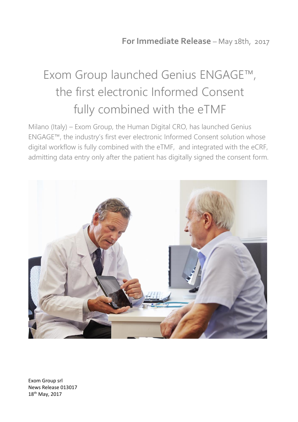## Exom Group launched Genius ENGAGE™, the first electronic Informed Consent fully combined with the eTMF

Milano (Italy) – Exom Group, the Human Digital CRO, has launched Genius ENGAGE™, the industry's first ever electronic Informed Consent solution whose digital workflow is fully combined with the eTMF, and integrated with the eCRF, admitting data entry only after the patient has digitally signed the consent form.



Exom Group srl News Release 013017 18th May, 2017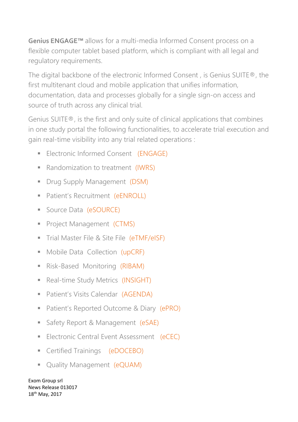**Genius ENGAGE™** allows for a multi-media Informed Consent process on a flexible computer tablet based platform, which is compliant with all legal and regulatory requirements.

The digital backbone of the electronic Informed Consent , is Genius SUITE®, the first multitenant cloud and mobile application that unifies information, documentation, data and processes globally for a single sign-on access and source of truth across any clinical trial.

Genius SUITE®, is the first and only suite of clinical applications that combines in one study portal the following functionalities, to accelerate trial execution and gain real-time visibility into any trial related operations :

- **Electronic Informed Consent (ENGAGE)**
- Randomization to treatment (IWRS)
- **•** Drug Supply Management (DSM)
- **Patient's Recruitment (eENROLL)**
- Source Data (eSOURCE)
- **Project Management (CTMS)**
- **Trial Master File & Site File (eTMF/eISF)**
- Mobile Data Collection (upCRF)
- **E** Risk-Based Monitoring (RIBAM)
- Real-time Study Metrics (INSIGHT)
- Patient's Visits Calendar (AGENDA)
- Patient's Reported Outcome & Diary (ePRO)
- Safety Report & Management (eSAE)
- **Electronic Central Event Assessment (eCEC)**
- **•** Certified Trainings (eDOCEBO)
- **Quality Management (eQUAM)**

Exom Group srl News Release 013017 18th May, 2017